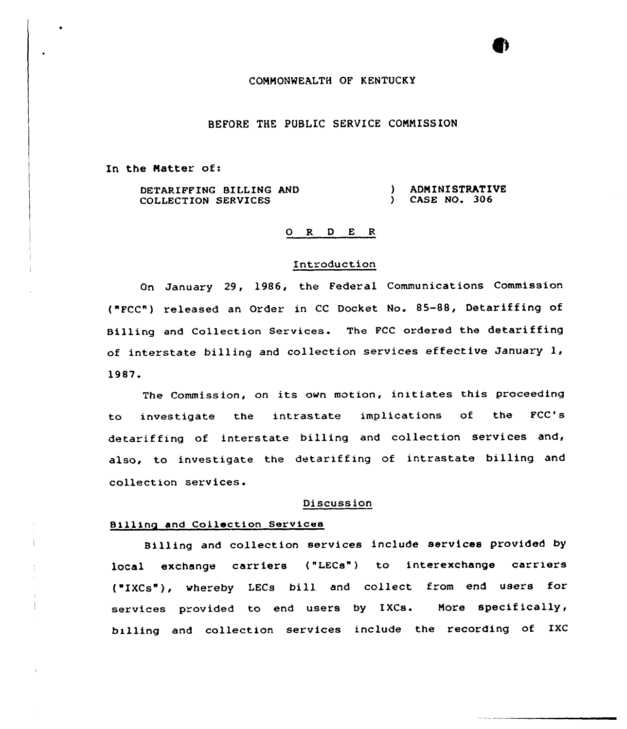### COMMONWEALTH OF KENTUCKY

## BEFORE THE PUBLIC SERVICE CONMISS ION

In the Matter of:

DETARIFFING BILLING AND COLLECTION SERVICES ) ADMINISTRATIVE<br>
1 CASE NO. 306 } CASE NO, 306

#### 0 R <sup>D</sup> E <sup>R</sup>

#### Introduction

On January 29, 1986, the Federal Communications Commission ("FCC") released an Order in CC Docket No. 85-88, Detariffing of Billing and Collection Services. The FCC ordered the detariffing of interstate billing and collection services effective January 1, 1987.

The Commission, on its own motion, initiates this proceeding to investigate the intrastate implications of the FCC' detariffing of interstate billing and collection services and, also, to investigate the detariffing of intrastate billing and collection services.

#### Discussion

#### Billing and Collection Services

Billing and collection services include services provided by local exchange carriers ("LECs") to interexchange carriers ('IXCs"), vhereby LECs bill and collect from end users for services provided to end users by IXCs. Nore specifically, billing and collection services include the recording of IXC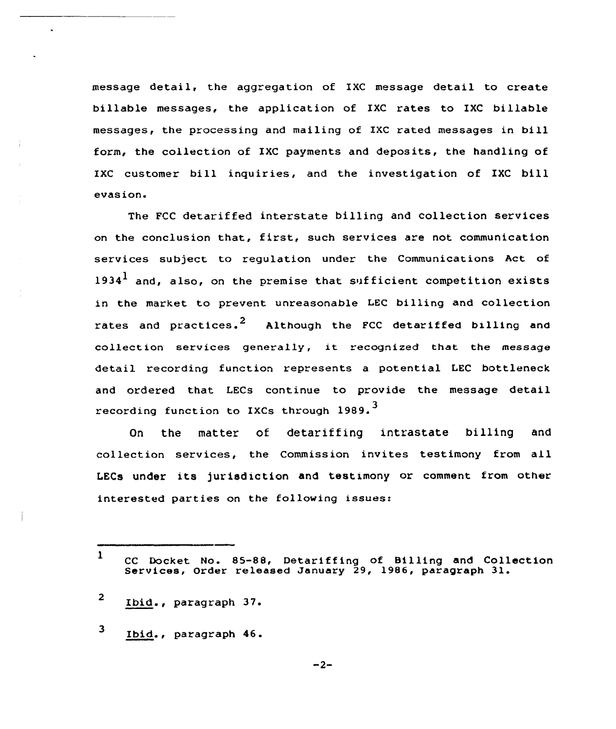message detail, the aggregation of IXC message detail to create billable messages, the application of IXC rates to IXC billable messages, the processing and mailing of IXC rated messages in bill form, the collection of IXC payments and deposits, the handling of IXC customer bill inquiries, and the investigation of IXC bill evasion.

The FCC detariffed interstate billing and collection services on the conclusion that, first, such services are not communication services subject to regulation under the Communications Act of 1934<sup>1</sup> and, also, on the premise that sufficient competition exists in the market to prevent unreasonable LEC billing and collection rates and practices.<sup>2</sup> Although the FCC detariffed billing and collection services generally, it recognized that the message detail recording function represents a potential LEC bottleneck and ordered that LECs continue to provide the message detail recording function to IXCs through 1989.<sup>3</sup>

On the matter of detariffing intrastate billing and collection services, the Commission invites testimony from all LECs under its jurisdiction and testimony or comment from other interested parties on the following issues:

3 Ibid., paragraph 46.

<sup>1</sup> CC Docket No. 85-88, Detariffing of Billing and Collection Services, Order released January 29, 1986, paragraph 31.

<sup>2</sup> Ibid., paragraph 37.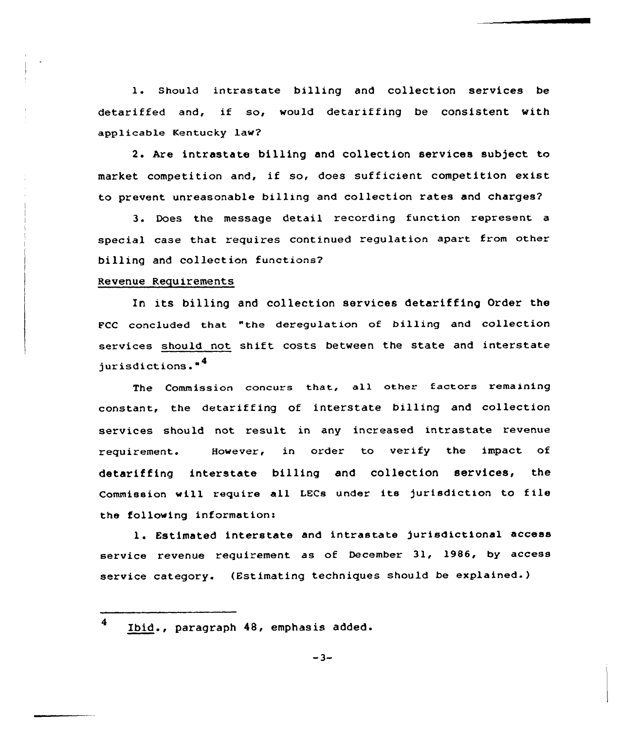1. Should intrastate billing and collection services be detariffed and, if so, would detariffing be consistent with app1icable Kentucky law?

2. Are intrastate billing and collection services subject to market competition and, if so, does sufficient competition exist to prevent unreasonable billing and collection rates and charges?

3 Does the message detail recording function represent a special case that requires continued regulation apart from other billing and collection functions?

#### Revenue Requirements

In its billing and collection services detariffing Order the FCC concluded that "the deregulation of billing and collection services should not shift costs between the state and interstate jurisdictions."<sup>4</sup>

The Commission concurs that, all other factors remaining constant, the detariffing of interstate billing and collection services should not result in any increased intrastate revenue requirement. However, in order to verify the impact of detariffing interstate billing and collection services, the Commission will require all LECs under its jurisdiction to file the following information<

l. Estimated interstate and intrastate jurisdictional access service revenue requirement as of December 31, 19B6, by access service category. (Estimating techniques should be explained-)

<sup>4</sup> Ibid., paragraph 48, emphasis added.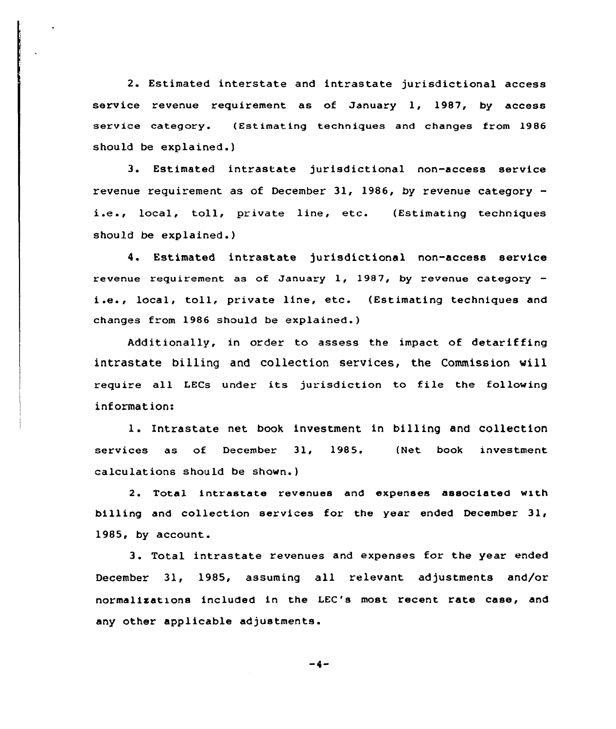2. Estimated interstate and intrastate jurisdictional access service revenue requirement as of January 1, 1987, by access service category. (Estimating techniques and changes from 1986 should be explained.)

3. Estimated intrastate jurisdictional non-access service revenue requirement as of December 31, 1986, by revenue category i.e., local, toll, private line, etc. (Estimating techniques should be explained.)

4. Estimated intrastate jurisdictional non-access service revenue requirement as of January 1, 1987, by revenue category  $$ i.e., local, toll, private line, etc. (Estimating techniques and changes from 1986 should be explained.)

Additionally, in order to assess the impact of detariffing intrastate billing and collection services, the Commission vill require all LECs under its jurisdiction to file the following information:

l. Intrastate net book investment in billing and collection services as of December 31, 1985. (Net book investment calculations should be shown.)

2. Total intrastate revenues and expenses associated with billing and collection services for the year ended December 31, 1985, by account.

3. Total intrastate revenues and expenses for the year ended December 31, 1985, assuming all relevant adjustments and/or normalizations included in the LEC's most recent rate case, and any other applicable adjustments.

-4-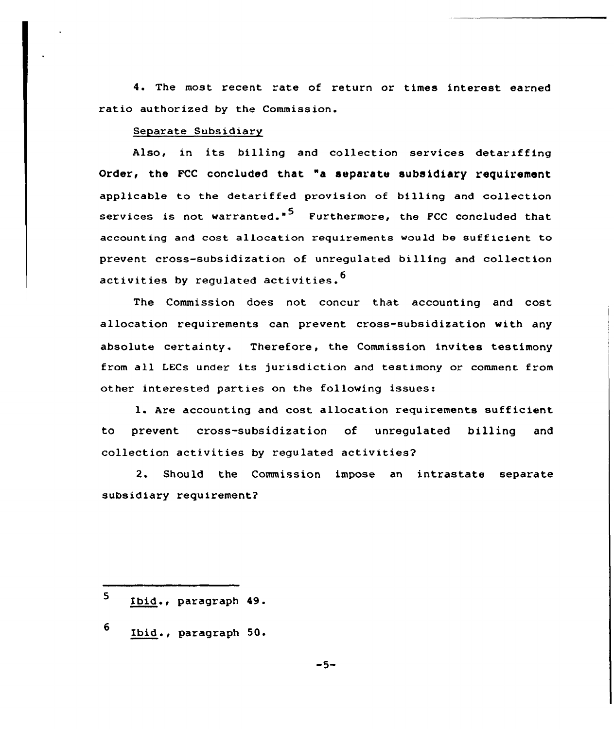4. The most recent rate of return or times interest earned ratio authorized by the Commission.

#### Separate Subsidiary

Also, in its billing and collection services detariffing Order, the FCC concluded that "a aeparate subsidiary requirement applicable to the detariffed provision of billing and collection services is not warranted."<sup>5</sup> Furthermore, the FCC concluded that accounting and cost allocation requirements would be sufficient to prevent cross-subsidization of unregulated billing and collection activities by regulated activities.<sup>6</sup>

The Commission does not concur that accounting and cost allocation requirements can prevent cross-subsidization with any absolute certainty. Therefore, the Commission invites testimony from all LECs under its jurisdiction and testimony or comment from other interested parties on the following issues:

l. Are accounting and cost allocation requirements sufficient to prevent cross-subsidization of unregulated billing and collection activities by regulated activities?

2. Should the Commission impose an intrastate separate subsidiary requirement?

- 5 Ibid., paragraph 49.
- 6 Ibid ., paragraph 50.

 $-5-$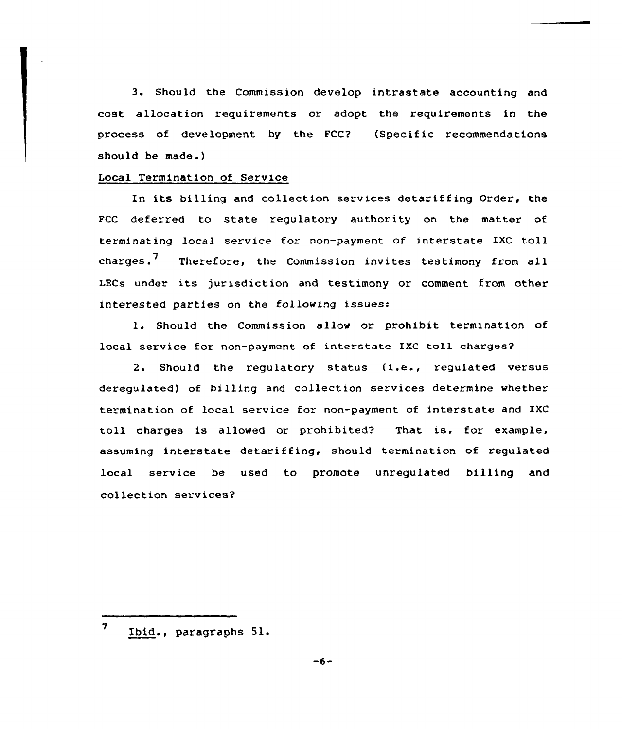3. Should the Commission develop intrastate accounting and cost allocation requirements or adopt the requirements in the process of development by the FCC? (Specific recommendations should be made.)

#### Local Termination of Service

In its billing and collection services detariffing Order, the FCC deferred to state regulatory authority on the matter of terminating local service for non-payment of interstate IXC toll charges.<sup>7</sup> Therefore, the Commission invites testimony from all LECs under its jurisdiction and testimony or comment from other interested parties on the folloving issues:

l. Should the Commission allow or prohibit termination of local service for non-payment of interstate IXC toll charges?

2. Should the regulatory status (i.e., regulated versus deregulated) of billing and collection services determine vhether termination of local service for non-payment of interstate and IXC toll charges is allowed or prohibited? That is, for example, assuming interstate detariffing, should termination of regulated local service be used to promote unregulated billing and collection services2

<sup>7</sup> Ibid., paragraphs 51.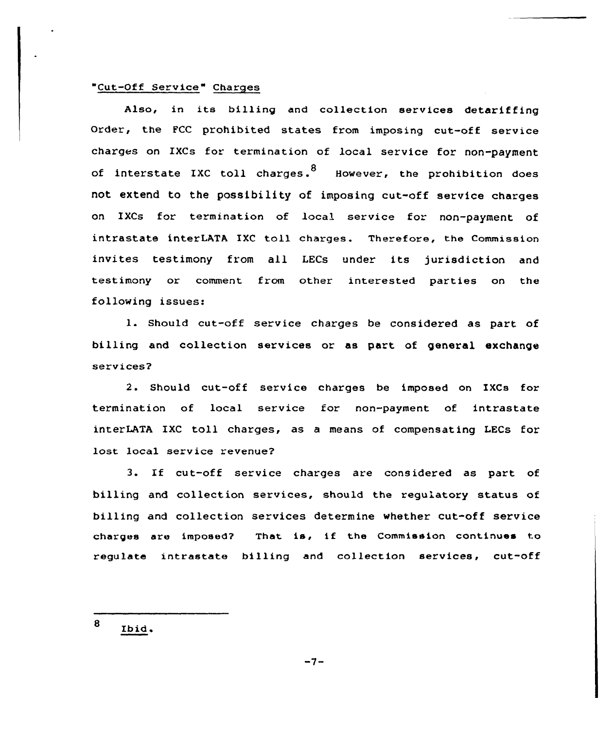# "Cut-Off Service" Charges

Also, in its billing and collection services detariffing Order, the FCC prohibited states from imposing cut-off service charges on IXCs for termination of local service for non-payment of interstate IXC toll charges.  $8\,$  However, the prohibition does not extend to the possibility of imposing cut-off service charges on IXCs for termination of local service for non-payment of intrastate interLATA IXC toll charges. Therefore, the Commission invites testimony from all LECs under its jurisdiction and testimony or comment from other interested parties on the following issues:

1. Should cut-off service charges be considered as part of billing and collection services or as part of general exchange services?

2. Should cut-off service charges be imposed on IXCs for termination of local service for non-payment of intrastate interLATA IXC toll charges, as a means of compensating LECs for lost local service revenue?

3. If cut-off service charges are considered as part of billing and collection sexvices, should the regulatory status of billing and collection services determine whether cut-off service charges are imposed? That is, if the Commission continues to regulate intrastate billing and collection services, cut-off

8 Ibid.

 $-7-$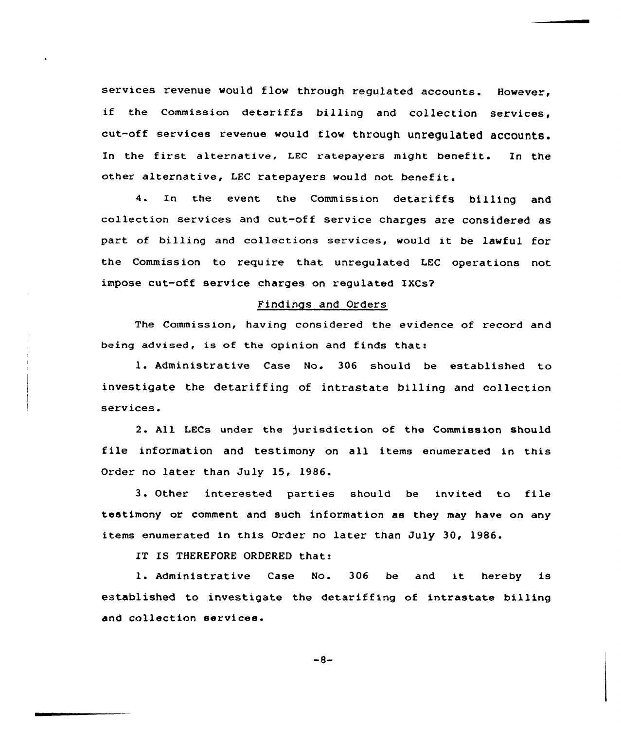services revenue would flow through regulated accounts. However, if the Commission detariffs billing and collection services, cut-off services revenue would flow through unregulated accounts. In the first alternative, LEC ratepayers might benefit. In the other alternative, LEC ratepayers would not benefit.

4. In the event the Commission detariffs bi11ing and collection services and cut-off service charges are considered as part of billing and collections services, would it be lawful for the Commission to require that unregulated LEC operations not impose cut-off service charges on regulated IXCS?

#### Findings and Orders

The Commission, having considered the evidence of record and being advised, is of the opinion and finds that:

l. Administrative Case No. <sup>306</sup> should be established to investigate the detariffing of intrastate billing and collection services.

2. All LECs under the jurisdiction of the Commission should file information and testimony on all items enumerated in this Order no later than July 15, 1986.

3. Other interested parties should be invited to file testimony or comment and such information as they may have on any items enumerated in this Order no later than July 30, 1986.

IT IS THEREFORE ORDERED that:

l. Administrative Case No. <sup>306</sup> be and it hereby is established to investigate the detariffing of intrastate billing and collection services.

$$
-8-
$$